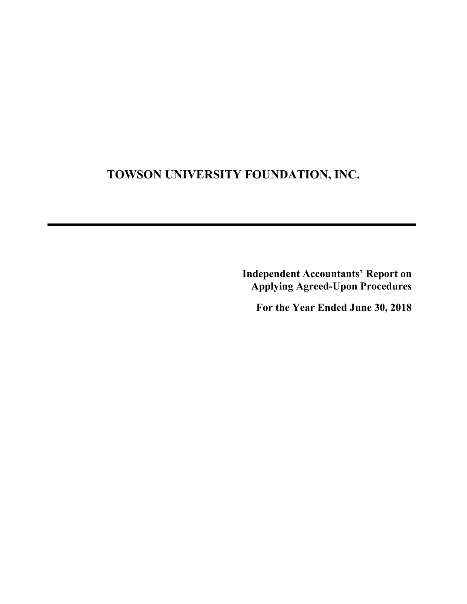## **TOWSON UNIVERSITY FOUNDATION, INC.**

**Independent Accountants' Report on Applying Agreed-Upon Procedures** 

**For the Year Ended June 30, 2018**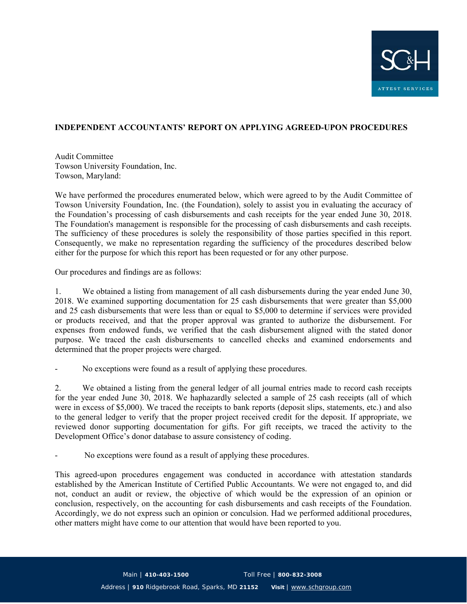

## **INDEPENDENT ACCOUNTANTS' REPORT ON APPLYING AGREED-UPON PROCEDURES**

Audit Committee Towson University Foundation, Inc. Towson, Maryland:

We have performed the procedures enumerated below, which were agreed to by the Audit Committee of Towson University Foundation, Inc. (the Foundation), solely to assist you in evaluating the accuracy of the Foundation's processing of cash disbursements and cash receipts for the year ended June 30, 2018. The Foundation's management is responsible for the processing of cash disbursements and cash receipts. The sufficiency of these procedures is solely the responsibility of those parties specified in this report. Consequently, we make no representation regarding the sufficiency of the procedures described below either for the purpose for which this report has been requested or for any other purpose.

Our procedures and findings are as follows:

1. We obtained a listing from management of all cash disbursements during the year ended June 30, 2018. We examined supporting documentation for 25 cash disbursements that were greater than \$5,000 and 25 cash disbursements that were less than or equal to \$5,000 to determine if services were provided or products received, and that the proper approval was granted to authorize the disbursement. For expenses from endowed funds, we verified that the cash disbursement aligned with the stated donor purpose. We traced the cash disbursements to cancelled checks and examined endorsements and determined that the proper projects were charged.

No exceptions were found as a result of applying these procedures.

2. We obtained a listing from the general ledger of all journal entries made to record cash receipts for the year ended June 30, 2018. We haphazardly selected a sample of 25 cash receipts (all of which were in excess of \$5,000). We traced the receipts to bank reports (deposit slips, statements, etc.) and also to the general ledger to verify that the proper project received credit for the deposit. If appropriate, we reviewed donor supporting documentation for gifts. For gift receipts, we traced the activity to the Development Office's donor database to assure consistency of coding.

No exceptions were found as a result of applying these procedures.

This agreed-upon procedures engagement was conducted in accordance with attestation standards established by the American Institute of Certified Public Accountants. We were not engaged to, and did not, conduct an audit or review, the objective of which would be the expression of an opinion or conclusion, respectively, on the accounting for cash disbursements and cash receipts of the Foundation. Accordingly, we do not express such an opinion or conculsion. Had we performed additional procedures, other matters might have come to our attention that would have been reported to you.